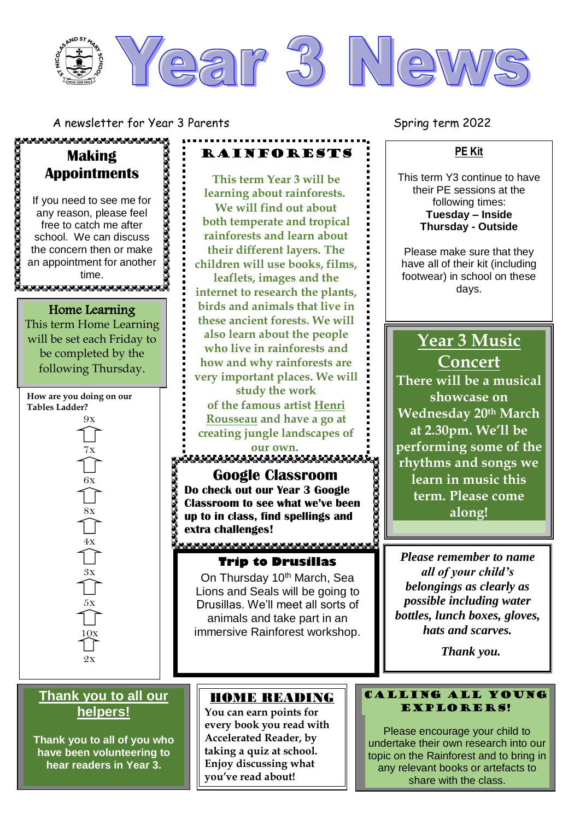

**RAINFORESTS** 

**This term Year 3 will be learning about rainforests. We will find out about both temperate and tropical rainforests and learn about their different layers. The children will use books, films, leaflets, images and the internet to research the plants, birds and animals that live in these ancient forests. We will also learn about the people who live in rainforests and how and why rainforests are very important places. We will study the work of the famous artist [Henri](http://www.henrirousseau.org/)  [Rousseau](http://www.henrirousseau.org/) and have a go at creating jungle landscapes of** 

A newsletter for Year 3 Parents Spring term 2022

#### **PE Kit**

This term Y3 continue to have their PE sessions at the following times: **Tuesday – Inside Thursday - Outside**

Please make sure that they have all of their kit (including footwear) in school on these days.

# **Year 3 Music Concert**

**There will be a musical showcase on Wednesday 20th March at 2.30pm. We'll be performing some of the rhythms and songs we learn in music this term. Please come along!**

*Please remember to name all of your child's belongings as clearly as possible including water bottles, lunch boxes, gloves, hats and scarves.* 

 *Thank you.* 

#### Calling all young Explorers!

Please encourage your child to undertake their own research into our topic on the Rainforest and to bring in any relevant books or artefacts to share with the class.

# **Making Appointments**

,,,,,,,,,,,,,,,,,,,,,,,

*<u>CONTRACTOROGYCKEROSOFICE</u>* If you need to see me for any reason, please feel free to catch me after school. We can discuss the concern then or make an appointment for another time. ത്തേത്തത്തെന്നു

Home Learning This term Home Learning will be set each Friday to be completed by the following Thursday.

**How are you doing on our Tables Ladder?** 9x

> 7x 6x  $\frac{8x}{\sqrt{1}}$  $\overset{4x}{\bigcap}$ 3x  $5\mathrm{x}$  $1QX$

> > 2x

### **Thank you to all our helpers!**

**Thank you to all of you who have been volunteering to hear readers in Year 3.** 

#### HOME READING

**our own.**

**Google Classroom Do check out our Year 3 Google Classroom to see what we've been up to in class, find spellings and** 

**Trip to Drusillas** On Thursday 10<sup>th</sup> March, Sea Lions and Seals will be going to Drusillas. We'll meet all sorts of animals and take part in an immersive Rainforest workshop.

**extra challenges!**

**You can earn points for every book you read with Accelerated Reader, by taking a quiz at school. Enjoy discussing what you've read about!**